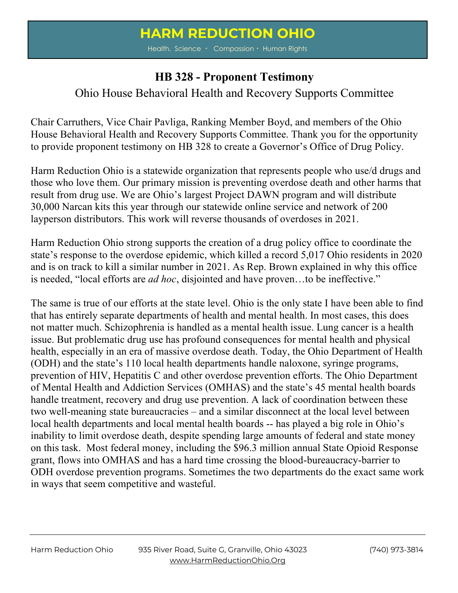## **HARM REDUCTION OHIO**

Health. Science • Compassion • Human Rights

## **HB 328 - Proponent Testimony**

## Ohio House Behavioral Health and Recovery Supports Committee

Chair Carruthers, Vice Chair Pavliga, Ranking Member Boyd, and members of the Ohio House Behavioral Health and Recovery Supports Committee. Thank you for the opportunity to provide proponent testimony on HB 328 to create a Governor's Office of Drug Policy.

Harm Reduction Ohio is a statewide organization that represents people who use/d drugs and those who love them. Our primary mission is preventing overdose death and other harms that result from drug use. We are Ohio's largest Project DAWN program and will distribute 30,000 Narcan kits this year through our statewide online service and network of 200 layperson distributors. This work will reverse thousands of overdoses in 2021.

Harm Reduction Ohio strong supports the creation of a drug policy office to coordinate the state's response to the overdose epidemic, which killed a record 5,017 Ohio residents in 2020 and is on track to kill a similar number in 2021. As Rep. Brown explained in why this office is needed, "local efforts are *ad hoc*, disjointed and have proven…to be ineffective."

The same is true of our efforts at the state level. Ohio is the only state I have been able to find that has entirely separate departments of health and mental health. In most cases, this does not matter much. Schizophrenia is handled as a mental health issue. Lung cancer is a health issue. But problematic drug use has profound consequences for mental health and physical health, especially in an era of massive overdose death. Today, the Ohio Department of Health (ODH) and the state's 110 local health departments handle naloxone, syringe programs, prevention of HIV, Hepatitis C and other overdose prevention efforts. The Ohio Department of Mental Health and Addiction Services (OMHAS) and the state's 45 mental health boards handle treatment, recovery and drug use prevention. A lack of coordination between these two well-meaning state bureaucracies – and a similar disconnect at the local level between local health departments and local mental health boards -- has played a big role in Ohio's inability to limit overdose death, despite spending large amounts of federal and state money on this task. Most federal money, including the \$96.3 million annual State Opioid Response grant, flows into OMHAS and has a hard time crossing the blood-bureaucracy-barrier to ODH overdose prevention programs. Sometimes the two departments do the exact same work in ways that seem competitive and wasteful.